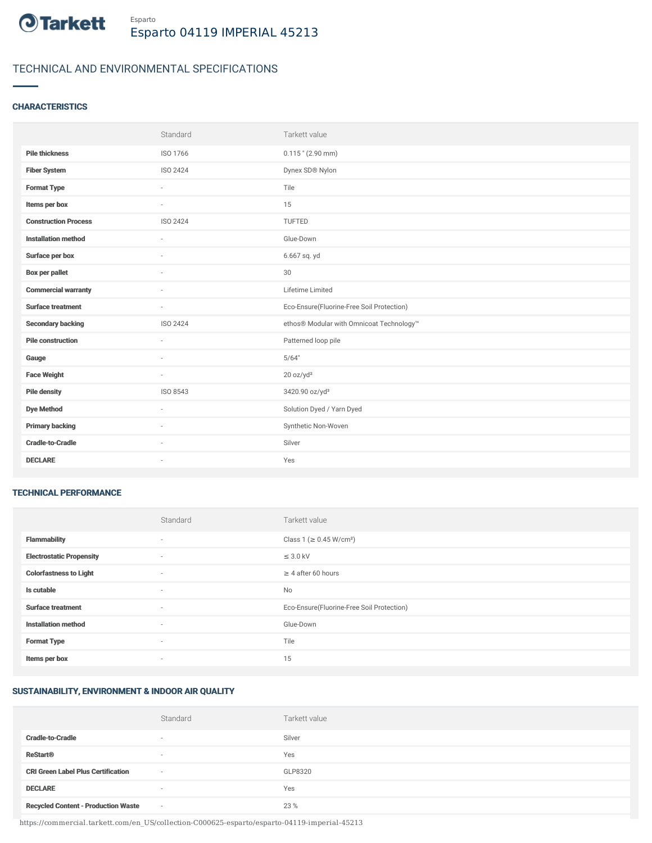

# TECHNICAL AND ENVIRONMENTAL SPECIFICATIONS

### **CHARACTERISTICS**

|                             | Standard                 | Tarkett value                             |
|-----------------------------|--------------------------|-------------------------------------------|
| <b>Pile thickness</b>       | ISO 1766                 | $0.115$ " (2.90 mm)                       |
| <b>Fiber System</b>         | <b>ISO 2424</b>          | Dynex SD® Nylon                           |
| <b>Format Type</b>          | ×                        | Tile                                      |
| Items per box               | $\sim$                   | 15                                        |
| <b>Construction Process</b> | <b>ISO 2424</b>          | TUFTED                                    |
| <b>Installation method</b>  | $\sim$                   | Glue-Down                                 |
| Surface per box             | $\sim$                   | 6.667 sq. yd                              |
| <b>Box per pallet</b>       | ×                        | 30                                        |
| <b>Commercial warranty</b>  | $\sim$                   | Lifetime Limited                          |
| <b>Surface treatment</b>    | $\sim$                   | Eco-Ensure(Fluorine-Free Soil Protection) |
| <b>Secondary backing</b>    | ISO 2424                 | ethos® Modular with Omnicoat Technology™  |
| <b>Pile construction</b>    | ×.                       | Patterned loop pile                       |
| Gauge                       | $\sim$                   | 5/64"                                     |
| <b>Face Weight</b>          | $\overline{\phantom{a}}$ | 20 oz/yd <sup>2</sup>                     |
| <b>Pile density</b>         | ISO 8543                 | 3420.90 oz/yd <sup>3</sup>                |
| <b>Dye Method</b>           | $\sim$                   | Solution Dyed / Yarn Dyed                 |
| <b>Primary backing</b>      | ٠                        | Synthetic Non-Woven                       |
| <b>Cradle-to-Cradle</b>     |                          | Silver                                    |
| <b>DECLARE</b>              | $\sim$                   | Yes                                       |

#### TECHNICAL PERFORMANCE

|                                 | Standard                 | Tarkett value                             |
|---------------------------------|--------------------------|-------------------------------------------|
| <b>Flammability</b>             | $\sim$                   | Class 1 (≥ 0.45 W/cm <sup>2</sup> )       |
| <b>Electrostatic Propensity</b> | $\sim$                   | $\leq$ 3.0 kV                             |
| <b>Colorfastness to Light</b>   | $\overline{\phantom{a}}$ | $\geq$ 4 after 60 hours                   |
| Is cutable                      | $\overline{\phantom{a}}$ | No                                        |
| <b>Surface treatment</b>        | $\overline{\phantom{a}}$ | Eco-Ensure(Fluorine-Free Soil Protection) |
| <b>Installation method</b>      | $\overline{\phantom{a}}$ | Glue-Down                                 |
| <b>Format Type</b>              | $\sim$                   | Tile                                      |
| Items per box                   | $\overline{\phantom{a}}$ | 15                                        |

## SUSTAINABILITY, ENVIRONMENT & INDOOR AIR QUALITY

|                                            | Standard                 | Tarkett value |
|--------------------------------------------|--------------------------|---------------|
| <b>Cradle-to-Cradle</b>                    | $\overline{\phantom{a}}$ | Silver        |
| <b>ReStart®</b>                            | $\overline{\phantom{a}}$ | Yes           |
| <b>CRI Green Label Plus Certification</b>  | $\sim$                   | GLP8320       |
| <b>DECLARE</b>                             | $\overline{\phantom{a}}$ | Yes           |
| <b>Recycled Content - Production Waste</b> | $\sim$                   | 23 %          |

https://commercial.tarkett.com/en\_US/collection-C000625-esparto/esparto-04119-imperial-45213